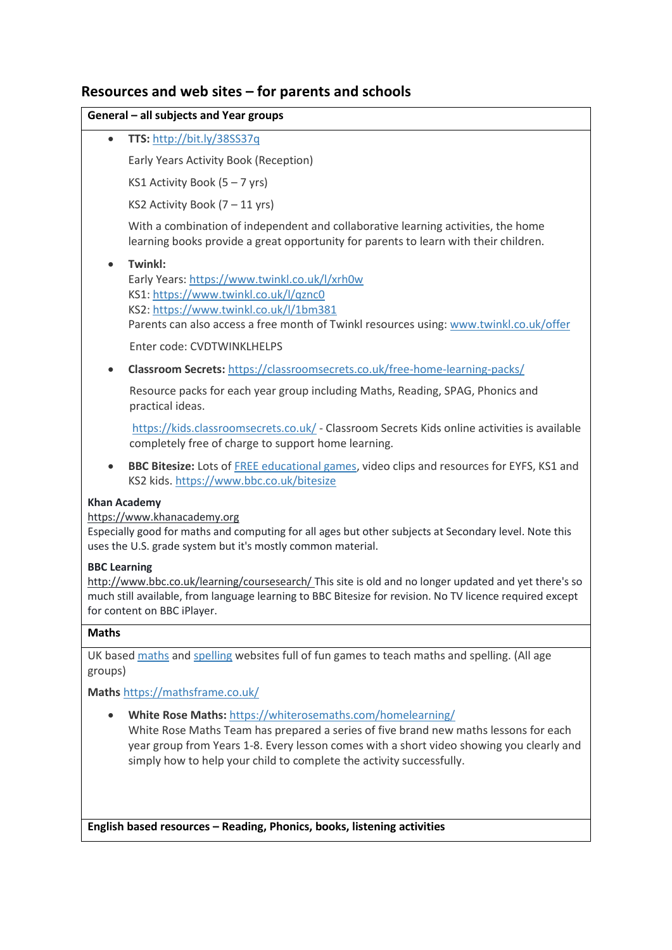# **Resources and web sites – for parents and schools**

## **General – all subjects and Year groups**

**TTS:** <http://bit.ly/38SS37q>

Early Years Activity Book (Reception)

KS1 Activity Book (5 – 7 yrs)

KS2 Activity Book (7 – 11 yrs)

With a combination of independent and collaborative learning activities, the home learning books provide a great opportunity for parents to learn with their children.

## **Twinkl:**

Early Years:<https://www.twinkl.co.uk/l/xrh0w> KS1[: https://www.twinkl.co.uk/l/qznc0](https://www.twinkl.co.uk/l/qznc0) KS2[: https://www.twinkl.co.uk/l/1bm381](https://www.twinkl.co.uk/l/1bm381) Parents can also access a free month of Twinkl resources using[: www.twinkl.co.uk/offer](http://www.twinkl.co.uk/offer)

Enter code: CVDTWINKLHELPS

**Classroom Secrets:** <https://classroomsecrets.co.uk/free-home-learning-packs/>

Resource packs for each year group including Maths, Reading, SPAG, Phonics and practical ideas.

<https://kids.classroomsecrets.co.uk/> - Classroom Secrets Kids online activities is available completely free of charge to support home learning.

 **BBC Bitesize:** Lots o[f FREE educational games,](https://www.bbc.co.uk/bitesize) video clips and resources for EYFS, KS1 and KS2 kids[. https://www.bbc.co.uk/bitesize](https://www.bbc.co.uk/bitesize)

### **Khan Academy**

### [https://www.khanacademy.org](https://www.khanacademy.org/)

Especially good for maths and computing for all ages but other subjects at Secondary level. Note this uses the U.S. grade system but it's mostly common material.

### **BBC Learning**

[http://www.bbc.co.uk/learning/coursesearch/ T](http://www.bbc.co.uk/learning/coursesearch/)his site is old and no longer updated and yet there's so much still available, from language learning to BBC Bitesize for revision. No TV licence required except for content on BBC iPlayer.

### **Maths**

UK based [maths](https://mathsframe.co.uk/) an[d spelling](https://spellingframe.co.uk/) websites full of fun games to teach maths and spelling. (All age groups)

**Maths** <https://mathsframe.co.uk/>

**White Rose Maths:** <https://whiterosemaths.com/homelearning/>

White Rose Maths Team has prepared a series of five brand new maths lessons for each year group from Years 1-8. Every lesson comes with a short video showing you clearly and simply how to help your child to complete the activity successfully.

**English based resources – Reading, Phonics, books, listening activities**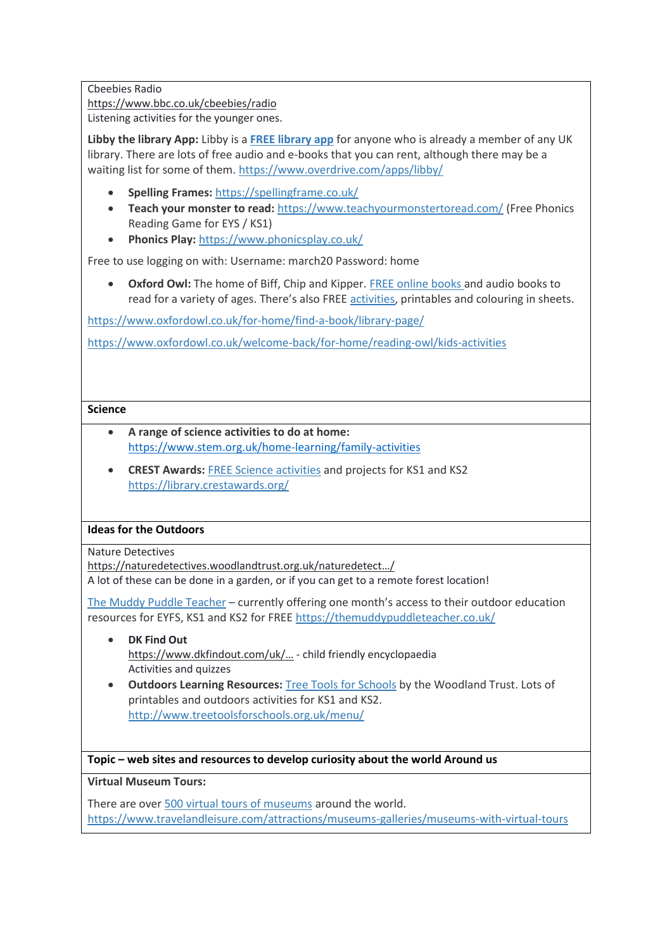## Cbeebies Radio

<https://www.bbc.co.uk/cbeebies/radio>

Listening activities for the younger ones.

**Libby the library App:** Libby is a **[FREE library app](https://www.overdrive.com/apps/libby/)** for anyone who is already a member of any UK library. There are lots of free audio and e-books that you can rent, although there may be a waiting list for some of them[. https://www.overdrive.com/apps/libby/](https://www.overdrive.com/apps/libby/)

- **Spelling Frames:** <https://spellingframe.co.uk/>
- **Teach your monster to read:** <https://www.teachyourmonstertoread.com/> (Free Phonics Reading Game for EYS / KS1)
- **Phonics Play:** <https://www.phonicsplay.co.uk/>

Free to use logging on with: Username: march20 Password: home

 **Oxford Owl:** The home of Biff, Chip and Kipper. [FREE online books a](https://www.oxfordowl.co.uk/for-home/find-a-book/library-page/)nd audio books to read for a variety of ages. There's also FREE [activities,](https://www.oxfordowl.co.uk/welcome-back/for-home/reading-owl/kids-activities) printables and colouring in sheets.

<https://www.oxfordowl.co.uk/for-home/find-a-book/library-page/>

<https://www.oxfordowl.co.uk/welcome-back/for-home/reading-owl/kids-activities>

# **Science**

- **A range of science activities to do at home:** [https://www.stem.org.uk/home-learning/family-activities](https://eur03.safelinks.protection.outlook.com/?url=https%3A%2F%2Fwww.stem.org.uk%2Fhome-learning%2Ffamily-activities&data=02%7C01%7CKathy.Smedley%40wokingham.gov.uk%7C8e0ac71ce3aa42e603cd08d7ccf29428%7C996ee15c0b3e4a6f8e65120a9a51821a%7C0%7C0%7C637203214826816135&sdata=Ka4Kbo28Yf%2FzNczZ7SrPXHMvGOe2Xhi%2F6LB9QTjVQsA%3D&reserved=0)
- **CREST Awards: [FREE Science activities](https://library.crestawards.org/) and projects for KS1 and KS2** <https://library.crestawards.org/>

# **Ideas for the Outdoors**

Nature Detectives

[https://naturedetectives.woodlandtrust.org.uk/naturedetect…/](https://naturedetectives.woodlandtrust.org.uk/naturedetect%E2%80%A6/) A lot of these can be done in a garden, or if you can get to a remote forest location!

[The Muddy Puddle Teacher](https://themuddypuddleteacher.co.uk/) – currently offering one month's access to their outdoor education resources for EYFS, KS1 and KS2 for FREE<https://themuddypuddleteacher.co.uk/>

- **DK Find Out** <https://www.dkfindout.com/uk/…> - child friendly encyclopaedia Activities and quizzes
- **Outdoors Learning Resources:** [Tree Tools for Schools](http://www.treetoolsforschools.org.uk/menu/) by the Woodland Trust. Lots of printables and outdoors activities for KS1 and KS2. <http://www.treetoolsforschools.org.uk/menu/>

# **Topic – web sites and resources to develop curiosity about the world Around us**

**Virtual Museum Tours:**

There are ove[r 500 virtual tours of museums](https://www.travelandleisure.com/attractions/museums-galleries/museums-with-virtual-tours) around the world. [https://www.travelandleisure.com/attractions/museums-galleries/museums-with-virtual-tours](https://www.travelandleisure.com/attractions/museums-galleries/museums-with-virtual-%09tours)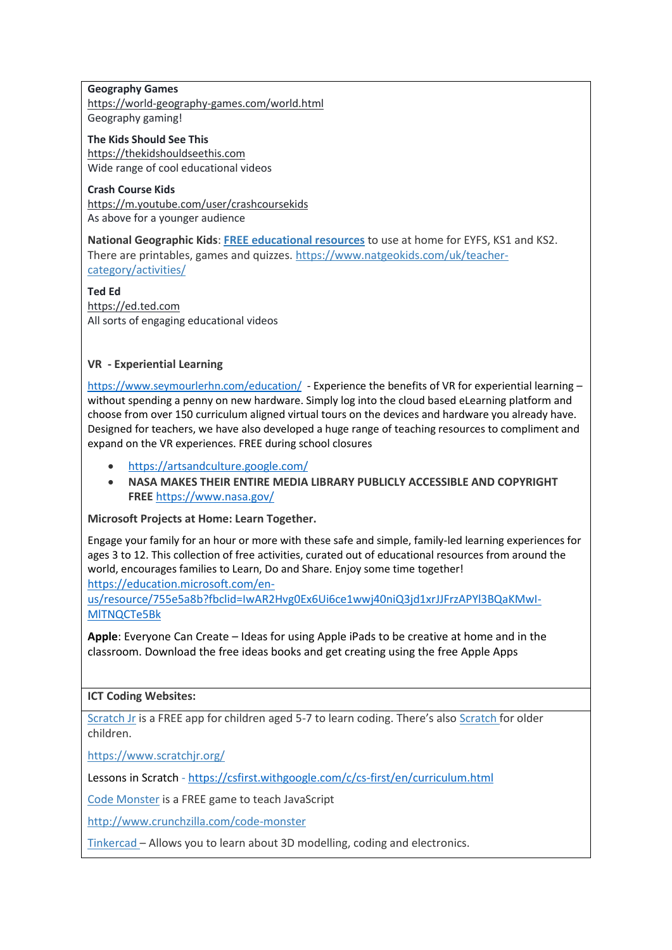### **Geography Games**

<https://world-geography-games.com/world.html> Geography gaming!

**The Kids Should See This** [https://thekidshouldseethis.com](https://thekidshouldseethis.com/) Wide range of cool educational videos

**Crash Course Kids** <https://m.youtube.com/user/crashcoursekids> As above for a younger audience

**National Geographic Kids**: **[FREE educational resources](https://www.natgeokids.com/uk/teacher-category/activities/)** to use at home for EYFS, KS1 and KS2. There are printables, games and quizzes. [https://www.natgeokids.com/uk/teacher](https://www.natgeokids.com/uk/teacher-category/activities/)[category/activities/](https://www.natgeokids.com/uk/teacher-category/activities/)

**Ted Ed** [https://ed.ted.com](https://ed.ted.com/) All sorts of engaging educational videos

# **VR - Experiential Learning**

<https://www.seymourlerhn.com/education/>- Experience the benefits of VR for experiential learning without spending a penny on new hardware. Simply log into the cloud based eLearning platform and choose from over 150 curriculum aligned virtual tours on the devices and hardware you already have. Designed for teachers, we have also developed a huge range of teaching resources to compliment and expand on the VR experiences. FREE during school closures

- <https://artsandculture.google.com/>
- **NASA MAKES THEIR ENTIRE MEDIA LIBRARY PUBLICLY ACCESSIBLE AND COPYRIGHT FREE** <https://www.nasa.gov/>

**Microsoft Projects at Home: Learn Together.**

Engage your family for an hour or more with these safe and simple, family-led learning experiences for ages 3 to 12. This collection of free activities, curated out of educational resources from around the world, encourages families to Learn, Do and Share. Enjoy some time together! [https://education.microsoft.com/en-](https://education.microsoft.com/en-us/resource/755e5a8b?fbclid=IwAR2Hvg0Ex6Ui6ce1wwj40niQ3jd1xrJJFrzAPYl3BQaKMwI-MlTNQCTe5Bk)

[us/resource/755e5a8b?fbclid=IwAR2Hvg0Ex6Ui6ce1wwj40niQ3jd1xrJJFrzAPYl3BQaKMwI-](https://education.microsoft.com/en-us/resource/755e5a8b?fbclid=IwAR2Hvg0Ex6Ui6ce1wwj40niQ3jd1xrJJFrzAPYl3BQaKMwI-MlTNQCTe5Bk)[MlTNQCTe5Bk](https://education.microsoft.com/en-us/resource/755e5a8b?fbclid=IwAR2Hvg0Ex6Ui6ce1wwj40niQ3jd1xrJJFrzAPYl3BQaKMwI-MlTNQCTe5Bk)

**Apple**: Everyone Can Create – Ideas for using Apple iPads to be creative at home and in the classroom. Download the free ideas books and get creating using the free Apple Apps

### **ICT Coding Websites:**

[Scratch Jr](https://www.scratchjr.org/) is a FREE app for children aged 5-7 to learn coding. There's also [Scratch f](https://scratch.mit.edu/)or older children.

<https://www.scratchjr.org/>

Lessons in Scratch - <https://csfirst.withgoogle.com/c/cs-first/en/curriculum.html>

[Code Monster](http://www.crunchzilla.com/code-monster) is a FREE game to teach JavaScript

<http://www.crunchzilla.com/code-monster>

[Tinkercad](https://www.tinkercad.com/) – Allows you to learn about 3D modelling, coding and electronics.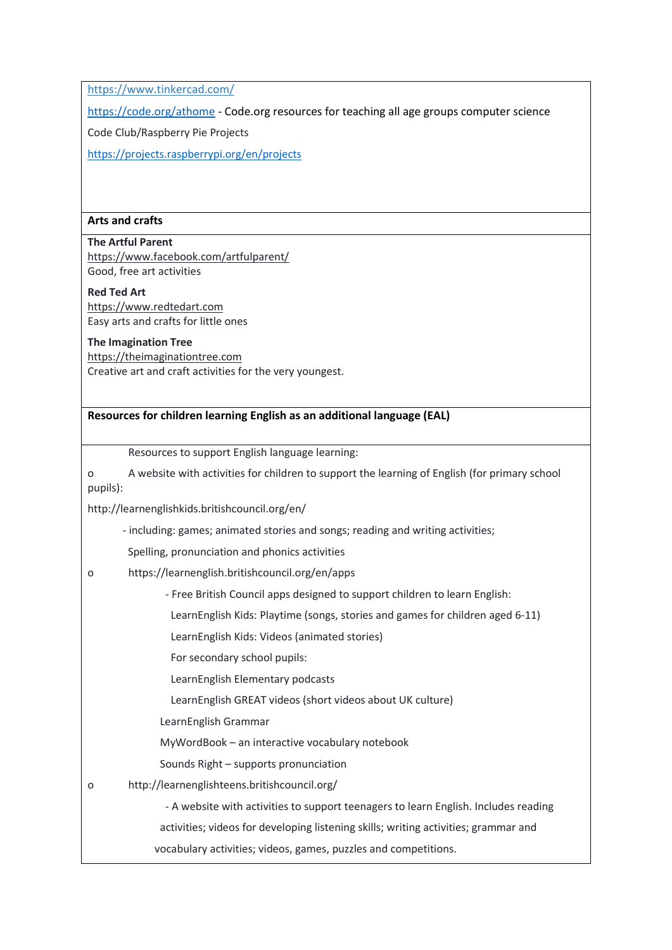<https://www.tinkercad.com/>

<https://code.org/athome> - Code.org resources for teaching all age groups computer science

Code Club/Raspberry Pie Projects

<https://projects.raspberrypi.org/en/projects>

### **Arts and crafts**

## **The Artful Parent**

<https://www.facebook.com/artfulparent/> Good, free art activities

**Red Ted Art** [https://www.redtedart.com](https://www.redtedart.com/) Easy arts and crafts for little ones

### **The Imagination Tree**

[https://theimaginationtree.com](https://theimaginationtree.com/) Creative art and craft activities for the very youngest.

### **Resources for children learning English as an additional language (EAL)**

Resources to support English language learning:

o A website with activities for children to support the learning of English (for primary school pupils):

http://learnenglishkids.britishcouncil.org/en/

- including: games; animated stories and songs; reading and writing activities;
- Spelling, pronunciation and phonics activities
- o https://learnenglish.britishcouncil.org/en/apps

- Free British Council apps designed to support children to learn English:

LearnEnglish Kids: Playtime (songs, stories and games for children aged 6-11)

LearnEnglish Kids: Videos (animated stories)

For secondary school pupils:

LearnEnglish Elementary podcasts

LearnEnglish GREAT videos (short videos about UK culture)

LearnEnglish Grammar

MyWordBook – an interactive vocabulary notebook

Sounds Right – supports pronunciation

o http://learnenglishteens.britishcouncil.org/

- A website with activities to support teenagers to learn English. Includes reading

activities; videos for developing listening skills; writing activities; grammar and

vocabulary activities; videos, games, puzzles and competitions.